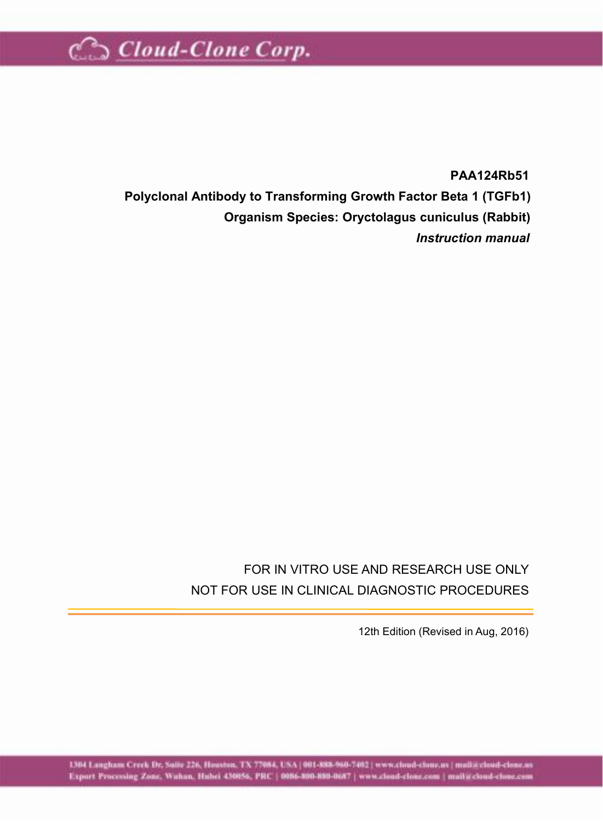

**PAA124Rb51 Polyclonal Antibody to Transforming Growth Factor Beta 1 (TGFb1) Organism Species: Oryctolagus cuniculus (Rabbit)** *Instruction manual*

#### FOR IN VITRO USE AND RESEARCH USE ONLY NOT FOR USE IN CLINICAL DIAGNOSTIC PROCEDURES

12th Edition (Revised in Aug, 2016)

1304 Langham Creek Dr. Suite 226, Houston, TX 77084, USA [ 001-888-960-7402 ] www.cloud-cloue.us [ mail@cloud-clone.us Export Processing Zone. Wahan, Hubri 430056, PRC | 0086-008-0087 | www.cloud-close.com | mail a cloud-close.com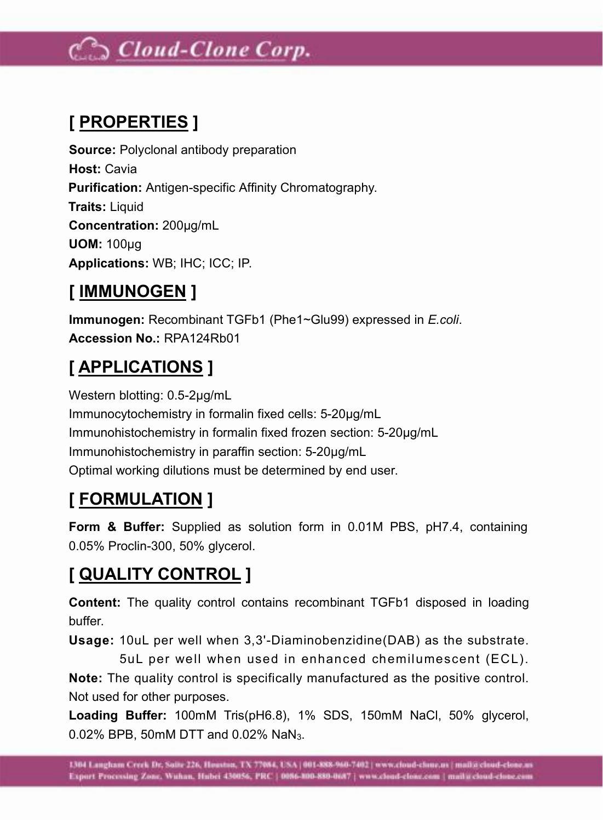# Coud-Clone Corp.

# **[ PROPERTIES ]**

**Source:** Polyclonal antibody preparation **Host:** Cavia **Purification:** Antigen-specific Affinity Chromatography. **Traits:** Liquid **Concentration:** 200µg/mL **UOM:** 100µg **Applications:** WB; IHC; ICC; IP.

#### **[ IMMUNOGEN ]**

**Immunogen:** Recombinant TGFb1 (Phe1~Glu99) expressed in *E.coli*. **Accession No.:** RPA124Rb01

## **[ APPLICATIONS ]**

Western blotting: 0.5-2µg/mL Immunocytochemistry in formalin fixed cells: 5-20µg/mL Immunohistochemistry in formalin fixed frozen section: 5-20µg/mL Immunohistochemistry in paraffin section: 5-20µg/mL Optimal working dilutions must be determined by end user.

# **[ FORMULATION ]**

**Form & Buffer:** Supplied as solution form in 0.01M PBS, pH7.4, containing 0.05% Proclin-300, 50% glycerol.

### **[ QUALITY CONTROL ]**

**Content:** The quality control contains recombinant TGFb1 disposed in loading buffer.

**Usage:** 10uL per well when 3,3'-Diaminobenzidine(DAB) as the substrate.<br>5uL per well when used in enhanced chemilumescent (ECL).

**Note:** The quality control is specifically manufactured as the positive control. Not used for other purposes.

**Loading Buffer:** 100mM Tris(pH6.8), 1% SDS, 150mM NaCl, 50% glycerol, 0.02% BPB, 50mM DTT and 0.02% NaN3.